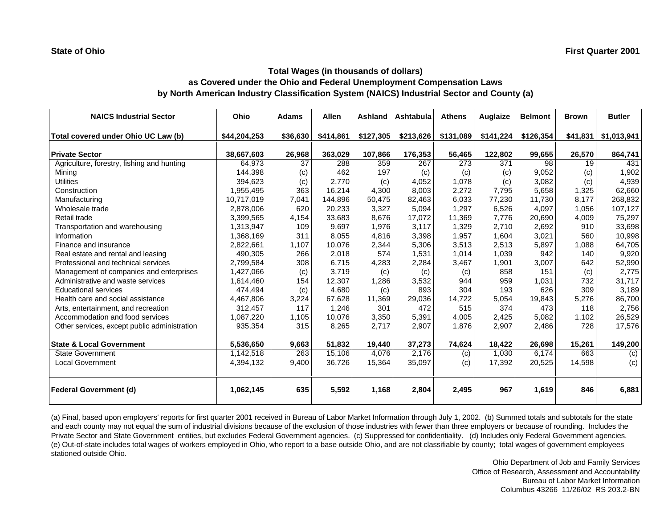# **Total Wages (in thousands of dollars) as Covered under the Ohio and Federal Unemployment Compensation Laws by North American Industry Classification System (NAICS) Industrial Sector and County (a)**

| <b>NAICS Industrial Sector</b>               | Ohio         | <b>Adams</b> | <b>Allen</b> | Ashland   | <b>Ashtabula</b> | <b>Athens</b> | <b>Auglaize</b> | <b>Belmont</b> | <b>Brown</b> | <b>Butler</b> |
|----------------------------------------------|--------------|--------------|--------------|-----------|------------------|---------------|-----------------|----------------|--------------|---------------|
| Total covered under Ohio UC Law (b)          | \$44,204,253 | \$36,630     | \$414,861    | \$127,305 | \$213,626        | \$131,089     | \$141,224       | \$126,354      | \$41,831     | \$1,013,941   |
| <b>Private Sector</b>                        | 38,667,603   | 26,968       | 363,029      | 107,866   | 176,353          | 56,465        | 122,802         | 99,655         | 26,570       | 864,741       |
| Agriculture, forestry, fishing and hunting   | 64,973       | 37           | 288          | 359       | 267              | 273           | 371             | 98             | 19           | 431           |
| Mining                                       | 144,398      | (c)          | 462          | 197       | (c)              | (c)           | (c)             | 9,052          | (c)          | 1,902         |
| <b>Utilities</b>                             | 394,623      | (c)          | 2,770        | (c)       | 4,052            | 1,078         | (c)             | 3,082          | (c)          | 4,939         |
| Construction                                 | 1,955,495    | 363          | 16,214       | 4.300     | 8.003            | 2,272         | 7.795           | 5,658          | 1,325        | 62,660        |
| Manufacturing                                | 10,717,019   | 7,041        | 144,896      | 50,475    | 82,463           | 6,033         | 77,230          | 11,730         | 8,177        | 268,832       |
| Wholesale trade                              | 2,878,006    | 620          | 20,233       | 3,327     | 5,094            | 1,297         | 6,526           | 4,097          | 1,056        | 107,127       |
| Retail trade                                 | 3,399,565    | 4,154        | 33,683       | 8.676     | 17.072           | 11.369        | 7,776           | 20.690         | 4,009        | 75,297        |
| Transportation and warehousing               | 1,313,947    | 109          | 9,697        | 1,976     | 3,117            | 1,329         | 2,710           | 2,692          | 910          | 33,698        |
| Information                                  | 1,368,169    | 311          | 8,055        | 4,816     | 3,398            | 1,957         | 1,604           | 3,021          | 560          | 10,998        |
| Finance and insurance                        | 2,822,661    | 1,107        | 10,076       | 2,344     | 5,306            | 3,513         | 2,513           | 5,897          | 1,088        | 64,705        |
| Real estate and rental and leasing           | 490,305      | 266          | 2,018        | 574       | 1,531            | 1.014         | 1,039           | 942            | 140          | 9,920         |
| Professional and technical services          | 2,799,584    | 308          | 6,715        | 4,283     | 2,284            | 3,467         | 1,901           | 3,007          | 642          | 52,990        |
| Management of companies and enterprises      | 1,427,066    | (c)          | 3,719        | (c)       | (c)              | (c)           | 858             | 151            | (c)          | 2,775         |
| Administrative and waste services            | 1,614,460    | 154          | 12,307       | 1,286     | 3,532            | 944           | 959             | 1,031          | 732          | 31,717        |
| <b>Educational services</b>                  | 474,494      | (c)          | 4,680        | (c)       | 893              | 304           | 193             | 626            | 309          | 3,189         |
| Health care and social assistance            | 4,467,806    | 3,224        | 67,628       | 11,369    | 29,036           | 14,722        | 5,054           | 19,843         | 5,276        | 86,700        |
| Arts, entertainment, and recreation          | 312,457      | 117          | 1,246        | 301       | 472              | 515           | 374             | 473            | 118          | 2,756         |
| Accommodation and food services              | 1,087,220    | 1,105        | 10,076       | 3,350     | 5,391            | 4,005         | 2,425           | 5,082          | 1,102        | 26,529        |
| Other services, except public administration | 935,354      | 315          | 8,265        | 2,717     | 2,907            | 1,876         | 2,907           | 2,486          | 728          | 17,576        |
| <b>State &amp; Local Government</b>          | 5,536,650    | 9,663        | 51,832       | 19,440    | 37,273           | 74,624        | 18,422          | 26,698         | 15,261       | 149,200       |
| <b>State Government</b>                      | 1,142,518    | 263          | 15,106       | 4,076     | 2,176            | (c)           | 1,030           | 6.174          | 663          | (c)           |
| <b>Local Government</b>                      | 4,394,132    | 9,400        | 36,726       | 15,364    | 35,097           | (c)           | 17,392          | 20,525         | 14,598       | (c)           |
| <b>Federal Government (d)</b>                | 1,062,145    | 635          | 5,592        | 1,168     | 2,804            | 2,495         | 967             | 1,619          | 846          | 6,881         |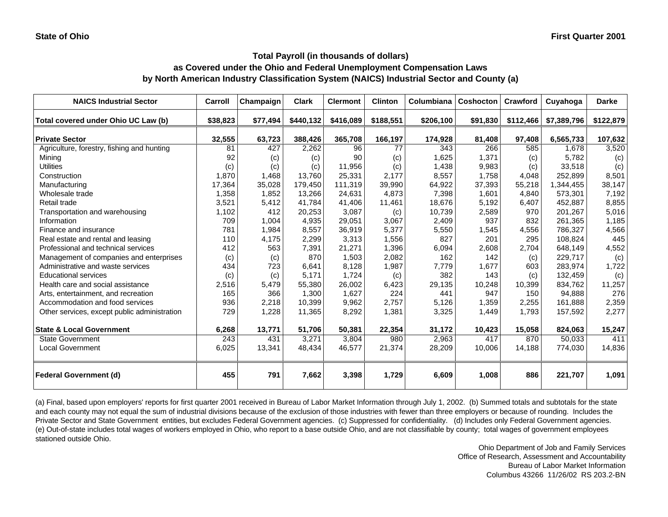## **as Covered under the Ohio and Federal Unemployment Compensation Laws by North American Industry Classification System (NAICS) Industrial Sector and County (a)**

| <b>NAICS Industrial Sector</b>               | Carroll  | Champaign | <b>Clark</b> | <b>Clermont</b> | <b>Clinton</b> | Columbiana | Coshocton | Crawford  | Cuyahoga    | <b>Darke</b> |
|----------------------------------------------|----------|-----------|--------------|-----------------|----------------|------------|-----------|-----------|-------------|--------------|
| Total covered under Ohio UC Law (b)          | \$38,823 | \$77,494  | \$440,132    | \$416,089       | \$188,551      | \$206,100  | \$91,830  | \$112,466 | \$7,389,796 | \$122,879    |
| <b>Private Sector</b>                        | 32,555   | 63,723    | 388,426      | 365,708         | 166,197        | 174,928    | 81,408    | 97,408    | 6,565,733   | 107,632      |
| Agriculture, forestry, fishing and hunting   | 81       | 427       | 2,262        | 96              | 77             | 343        | 266       | 585       | 1.678       | 3,520        |
| Mining                                       | 92       | (c)       | (c)          | 90              | (c)            | 1,625      | 1,371     | (c)       | 5,782       | (c)          |
| <b>Utilities</b>                             | (c)      | (c)       | (c)          | 11,956          | (c)            | 1,438      | 9,983     | (c)       | 33,518      | (c)          |
| Construction                                 | 1,870    | 1,468     | 13,760       | 25,331          | 2,177          | 8,557      | 1,758     | 4,048     | 252,899     | 8,501        |
| Manufacturing                                | 17,364   | 35,028    | 179,450      | 111,319         | 39,990         | 64,922     | 37,393    | 55,218    | 1,344,455   | 38,147       |
| Wholesale trade                              | 1,358    | 1,852     | 13,266       | 24,631          | 4,873          | 7,398      | 1,601     | 4,840     | 573,301     | 7,192        |
| Retail trade                                 | 3,521    | 5,412     | 41.784       | 41,406          | 11,461         | 18,676     | 5,192     | 6,407     | 452,887     | 8,855        |
| Transportation and warehousing               | 1,102    | 412       | 20,253       | 3,087           | (c)            | 10,739     | 2,589     | 970       | 201,267     | 5,016        |
| Information                                  | 709      | 1,004     | 4,935        | 29,051          | 3,067          | 2,409      | 937       | 832       | 261,365     | 1,185        |
| Finance and insurance                        | 781      | 1,984     | 8,557        | 36,919          | 5,377          | 5,550      | 1,545     | 4,556     | 786,327     | 4,566        |
| Real estate and rental and leasing           | 110      | 4,175     | 2,299        | 3,313           | 1,556          | 827        | 201       | 295       | 108,824     | 445          |
| Professional and technical services          | 412      | 563       | 7,391        | 21,271          | 1,396          | 6,094      | 2,608     | 2,704     | 648,149     | 4,552        |
| Management of companies and enterprises      | (c)      | (c)       | 870          | 1,503           | 2,082          | 162        | 142       | (c)       | 229,717     | (c)          |
| Administrative and waste services            | 434      | 723       | 6,641        | 8,128           | 1,987          | 7,779      | 1,677     | 603       | 283,974     | 1,722        |
| <b>Educational services</b>                  | (c)      | (c)       | 5,171        | 1,724           | (c)            | 382        | 143       | (c)       | 132,459     | (c)          |
| Health care and social assistance            | 2,516    | 5,479     | 55,380       | 26,002          | 6,423          | 29,135     | 10,248    | 10,399    | 834,762     | 11,257       |
| Arts, entertainment, and recreation          | 165      | 366       | 1,300        | 1,627           | 224            | 441        | 947       | 150       | 94,888      | 276          |
| Accommodation and food services              | 936      | 2,218     | 10,399       | 9,962           | 2,757          | 5,126      | 1,359     | 2,255     | 161,888     | 2,359        |
| Other services, except public administration | 729      | 1,228     | 11,365       | 8,292           | 1,381          | 3,325      | 1,449     | 1,793     | 157,592     | 2,277        |
| <b>State &amp; Local Government</b>          | 6,268    | 13,771    | 51,706       | 50,381          | 22,354         | 31,172     | 10,423    | 15,058    | 824,063     | 15,247       |
| State Government                             | 243      | 431       | 3,271        | 3,804           | 980            | 2,963      | 417       | 870       | 50,033      | 411          |
| <b>Local Government</b>                      | 6,025    | 13,341    | 48,434       | 46,577          | 21,374         | 28,209     | 10,006    | 14,188    | 774,030     | 14,836       |
| <b>Federal Government (d)</b>                | 455      | 791       | 7,662        | 3,398           | 1,729          | 6,609      | 1,008     | 886       | 221,707     | 1,091        |

(a) Final, based upon employers' reports for first quarter 2001 received in Bureau of Labor Market Information through July 1, 2002. (b) Summed totals and subtotals for the state and each county may not equal the sum of industrial divisions because of the exclusion of those industries with fewer than three employers or because of rounding. Includes the Private Sector and State Government entities, but excludes Federal Government agencies. (c) Suppressed for confidentiality. (d) Includes only Federal Government agencies. (e) Out-of-state includes total wages of workers employed in Ohio, who report to a base outside Ohio, and are not classifiable by county; total wages of government employees stationed outside Ohio.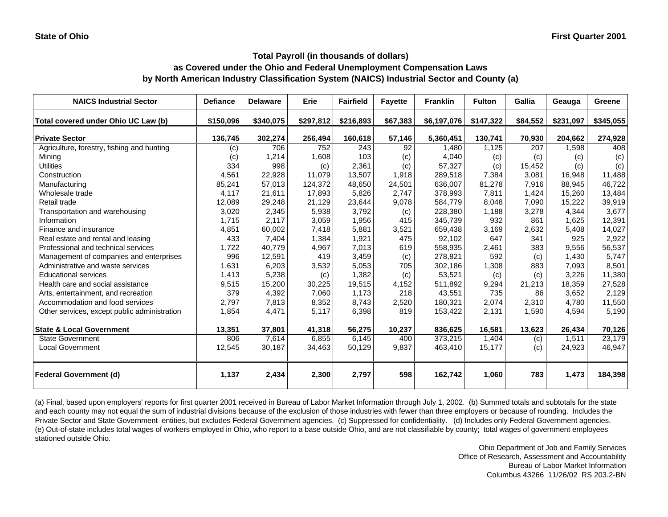## **as Covered under the Ohio and Federal Unemployment Compensation Laws by North American Industry Classification System (NAICS) Industrial Sector and County (a)**

| <b>NAICS Industrial Sector</b>               | <b>Defiance</b> | <b>Delaware</b> | Erie      | <b>Fairfield</b> | <b>Fayette</b> | <b>Franklin</b> | <b>Fulton</b> | Gallia   | Geauga    | Greene    |
|----------------------------------------------|-----------------|-----------------|-----------|------------------|----------------|-----------------|---------------|----------|-----------|-----------|
| Total covered under Ohio UC Law (b)          | \$150,096       | \$340,075       | \$297,812 | \$216,893        | \$67,383       | \$6,197,076     | \$147,322     | \$84,552 | \$231,097 | \$345,055 |
| <b>Private Sector</b>                        | 136,745         | 302,274         | 256,494   | 160,618          | 57,146         | 5,360,451       | 130,741       | 70,930   | 204,662   | 274,928   |
| Agriculture, forestry, fishing and hunting   | (c)             | 706             | 752       | 243              | 92             | 1.480           | 1,125         | 207      | 1,598     | 408       |
| Mining                                       | (c)             | 1,214           | 1,608     | 103              | (c)            | 4,040           | (c)           | (c)      | (c)       | (c)       |
| <b>Utilities</b>                             | 334             | 998             | (c)       | 2,361            | (c)            | 57,327          | (c)           | 15,452   | (c)       | (c)       |
| Construction                                 | 4,561           | 22,928          | 11.079    | 13,507           | 1,918          | 289,518         | 7,384         | 3,081    | 16,948    | 11,488    |
| Manufacturing                                | 85,241          | 57,013          | 124,372   | 48,650           | 24,501         | 636,007         | 81,278        | 7,916    | 88,945    | 46,722    |
| Wholesale trade                              | 4,117           | 21,611          | 17,893    | 5,826            | 2,747          | 378,993         | 7,811         | 1,424    | 15,260    | 13,484    |
| Retail trade                                 | 12,089          | 29,248          | 21,129    | 23,644           | 9,078          | 584,779         | 8,048         | 7,090    | 15,222    | 39,919    |
| Transportation and warehousing               | 3,020           | 2,345           | 5,938     | 3,792            | (c)            | 228,380         | 1,188         | 3,278    | 4,344     | 3,677     |
| Information                                  | 1,715           | 2,117           | 3,059     | 1,956            | 415            | 345,739         | 932           | 861      | 1,625     | 12,391    |
| Finance and insurance                        | 4,851           | 60,002          | 7,418     | 5,881            | 3,521          | 659,438         | 3,169         | 2,632    | 5,408     | 14,027    |
| Real estate and rental and leasing           | 433             | 7,404           | 1,384     | 1,921            | 475            | 92,102          | 647           | 341      | 925       | 2,922     |
| Professional and technical services          | 1,722           | 40,779          | 4,967     | 7,013            | 619            | 558,935         | 2.461         | 383      | 9.556     | 56,537    |
| Management of companies and enterprises      | 996             | 12,591          | 419       | 3,459            | (c)            | 278,821         | 592           | (c)      | 1,430     | 5,747     |
| Administrative and waste services            | 1,631           | 6,203           | 3,532     | 5,053            | 705            | 302,186         | 1,308         | 883      | 7,093     | 8,501     |
| <b>Educational services</b>                  | 1,413           | 5,238           | (c)       | 1,382            | (c)            | 53,521          | (c)           | (c)      | 3,226     | 11,380    |
| Health care and social assistance            | 9,515           | 15,200          | 30,225    | 19,515           | 4,152          | 511,892         | 9,294         | 21,213   | 18,359    | 27,528    |
| Arts, entertainment, and recreation          | 379             | 4,392           | 7,060     | 1.173            | 218            | 43,551          | 735           | 86       | 3,652     | 2,129     |
| Accommodation and food services              | 2,797           | 7,813           | 8,352     | 8,743            | 2,520          | 180,321         | 2,074         | 2,310    | 4.780     | 11,550    |
| Other services, except public administration | 1,854           | 4,471           | 5,117     | 6,398            | 819            | 153,422         | 2,131         | 1,590    | 4,594     | 5,190     |
| <b>State &amp; Local Government</b>          | 13,351          | 37,801          | 41,318    | 56,275           | 10,237         | 836,625         | 16,581        | 13,623   | 26,434    | 70,126    |
| <b>State Government</b>                      | 806             | 7,614           | 6,855     | 6,145            | 400            | 373,215         | 1,404         | (c)      | 1,511     | 23,179    |
| <b>Local Government</b>                      | 12,545          | 30,187          | 34,463    | 50,129           | 9,837          | 463,410         | 15,177        | (c)      | 24,923    | 46,947    |
| <b>Federal Government (d)</b>                | 1,137           | 2,434           | 2,300     | 2,797            | 598            | 162,742         | 1,060         | 783      | 1,473     | 184,398   |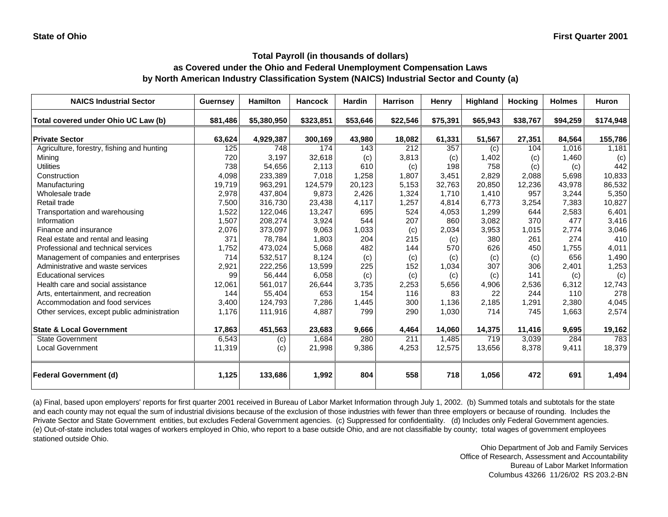## **as Covered under the Ohio and Federal Unemployment Compensation Laws by North American Industry Classification System (NAICS) Industrial Sector and County (a)**

| <b>NAICS Industrial Sector</b>               | <b>Guernsey</b> | <b>Hamilton</b> | <b>Hancock</b> | <b>Hardin</b> | <b>Harrison</b> | Henry    | Highland | <b>Hocking</b> | <b>Holmes</b> | <b>Huron</b> |
|----------------------------------------------|-----------------|-----------------|----------------|---------------|-----------------|----------|----------|----------------|---------------|--------------|
| Total covered under Ohio UC Law (b)          | \$81.486        | \$5,380,950     | \$323,851      | \$53,646      | \$22,546        | \$75,391 | \$65,943 | \$38,767       | \$94,259      | \$174,948    |
| <b>Private Sector</b>                        | 63,624          | 4,929,387       | 300,169        | 43,980        | 18,082          | 61,331   | 51,567   | 27,351         | 84,564        | 155,786      |
| Agriculture, forestry, fishing and hunting   | 125             | 748             | 174            | 143           | 212             | 357      | (c)      | 104            | 1,016         | 1,181        |
| Mining                                       | 720             | 3,197           | 32,618         | (c)           | 3,813           | (c)      | 1,402    | (c)            | 1,460         | (c)          |
| <b>Utilities</b>                             | 738             | 54,656          | 2,113          | 610           | (c)             | 198      | 758      | (c)            | (c)           | 442          |
| Construction                                 | 4,098           | 233,389         | 7,018          | 1,258         | 1,807           | 3,451    | 2,829    | 2,088          | 5,698         | 10,833       |
| Manufacturing                                | 19,719          | 963,291         | 124,579        | 20,123        | 5,153           | 32,763   | 20,850   | 12,236         | 43,978        | 86,532       |
| Wholesale trade                              | 2,978           | 437,804         | 9,873          | 2,426         | 1,324           | 1.710    | 1,410    | 957            | 3,244         | 5,350        |
| Retail trade                                 | 7,500           | 316,730         | 23,438         | 4,117         | 1,257           | 4.814    | 6,773    | 3,254          | 7,383         | 10,827       |
| Transportation and warehousing               | 1,522           | 122,046         | 13,247         | 695           | 524             | 4,053    | 1,299    | 644            | 2,583         | 6,401        |
| Information                                  | 1,507           | 208,274         | 3,924          | 544           | 207             | 860      | 3,082    | 370            | 477           | 3,416        |
| Finance and insurance                        | 2,076           | 373,097         | 9,063          | 1,033         | (c)             | 2,034    | 3,953    | 1,015          | 2,774         | 3,046        |
| Real estate and rental and leasing           | 371             | 78,784          | 1,803          | 204           | 215             | (c)      | 380      | 261            | 274           | 410          |
| Professional and technical services          | 1.752           | 473,024         | 5,068          | 482           | 144             | 570      | 626      | 450            | 1.755         | 4,011        |
| Management of companies and enterprises      | 714             | 532,517         | 8,124          | (c)           | (c)             | (c)      | (c)      | (c)            | 656           | 1,490        |
| Administrative and waste services            | 2,921           | 222,256         | 13,599         | 225           | 152             | 1,034    | 307      | 306            | 2,401         | 1,253        |
| <b>Educational services</b>                  | 99              | 56,444          | 6,058          | (c)           | (c)             | (c)      | (c)      | 141            | (c)           | (c)          |
| Health care and social assistance            | 12,061          | 561,017         | 26,644         | 3,735         | 2,253           | 5,656    | 4,906    | 2,536          | 6,312         | 12,743       |
| Arts, entertainment, and recreation          | 144             | 55,404          | 653            | 154           | 116             | 83       | 22       | 244            | 110           | 278          |
| Accommodation and food services              | 3,400           | 124,793         | 7,286          | 1,445         | 300             | 1,136    | 2,185    | 1,291          | 2,380         | 4,045        |
| Other services, except public administration | 1,176           | 111,916         | 4,887          | 799           | 290             | 1,030    | 714      | 745            | 1,663         | 2,574        |
| <b>State &amp; Local Government</b>          | 17,863          | 451,563         | 23,683         | 9,666         | 4,464           | 14,060   | 14,375   | 11,416         | 9,695         | 19,162       |
| State Government                             | 6,543           | (c)             | 1,684          | 280           | 211             | 1,485    | 719      | 3,039          | 284           | 783          |
| <b>Local Government</b>                      | 11,319          | (c)             | 21,998         | 9,386         | 4,253           | 12,575   | 13,656   | 8,378          | 9,411         | 18,379       |
| <b>Federal Government (d)</b>                | 1,125           | 133,686         | 1,992          | 804           | 558             | 718      | 1,056    | 472            | 691           | 1,494        |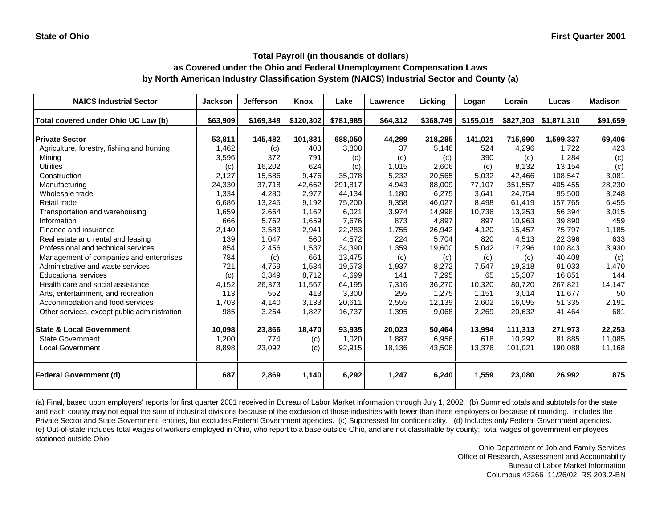## **as Covered under the Ohio and Federal Unemployment Compensation Laws by North American Industry Classification System (NAICS) Industrial Sector and County (a)**

| <b>NAICS Industrial Sector</b>               | <b>Jackson</b> | <b>Jefferson</b> | Knox      | Lake      | Lawrence | Licking   | Logan     | Lorain    | Lucas       | <b>Madison</b> |
|----------------------------------------------|----------------|------------------|-----------|-----------|----------|-----------|-----------|-----------|-------------|----------------|
| Total covered under Ohio UC Law (b)          | \$63,909       | \$169,348        | \$120,302 | \$781,985 | \$64,312 | \$368,749 | \$155,015 | \$827,303 | \$1,871,310 | \$91,659       |
| <b>Private Sector</b>                        | 53,811         | 145,482          | 101,831   | 688,050   | 44,289   | 318,285   | 141,021   | 715,990   | 1,599,337   | 69,406         |
| Agriculture, forestry, fishing and hunting   | 1,462          | (c)              | 403       | 3,808     | 37       | 5,146     | 524       | 4,296     | 1,722       | 423            |
| Mining                                       | 3,596          | 372              | 791       | (c)       | (c)      | (c)       | 390       | (c)       | 1,284       | (c)            |
| <b>Utilities</b>                             | (c)            | 16,202           | 624       | (c)       | 1,015    | 2,606     | (c)       | 8,132     | 13,154      | (c)            |
| Construction                                 | 2.127          | 15,586           | 9,476     | 35,078    | 5,232    | 20,565    | 5,032     | 42.466    | 108.547     | 3,081          |
| Manufacturing                                | 24,330         | 37,718           | 42,662    | 291,817   | 4,943    | 88,009    | 77,107    | 351,557   | 405,455     | 28,230         |
| Wholesale trade                              | 1,334          | 4,280            | 2,977     | 44,134    | 1,180    | 6,275     | 3,641     | 24,754    | 95,500      | 3,248          |
| Retail trade                                 | 6,686          | 13,245           | 9,192     | 75,200    | 9,358    | 46,027    | 8,498     | 61,419    | 157,765     | 6,455          |
| Transportation and warehousing               | 1,659          | 2,664            | 1,162     | 6,021     | 3,974    | 14,998    | 10,736    | 13,253    | 56,394      | 3,015          |
| Information                                  | 666            | 5,762            | 1,659     | 7,676     | 873      | 4,897     | 897       | 10,963    | 39,890      | 459            |
| Finance and insurance                        | 2,140          | 3,583            | 2,941     | 22,283    | 1,755    | 26,942    | 4,120     | 15.457    | 75,797      | 1,185          |
| Real estate and rental and leasing           | 139            | 1,047            | 560       | 4,572     | 224      | 5,704     | 820       | 4,513     | 22,396      | 633            |
| Professional and technical services          | 854            | 2,456            | 1,537     | 34,390    | 1,359    | 19,600    | 5,042     | 17,296    | 100,843     | 3,930          |
| Management of companies and enterprises      | 784            | (c)              | 661       | 13,475    | (c)      | (c)       | (c)       | (c)       | 40,408      | (c)            |
| Administrative and waste services            | 721            | 4,759            | 1,534     | 19,573    | 1,937    | 8,272     | 7,547     | 19,318    | 91,033      | 1,470          |
| <b>Educational services</b>                  | (c)            | 3,349            | 8,712     | 4,699     | 141      | 7,295     | 65        | 15,307    | 16,851      | 144            |
| Health care and social assistance            | 4,152          | 26,373           | 11,567    | 64,195    | 7,316    | 36,270    | 10,320    | 80,720    | 267,821     | 14,147         |
| Arts, entertainment, and recreation          | 113            | 552              | 413       | 3,300     | 255      | 1,275     | 1,151     | 3,014     | 11,677      | 50             |
| Accommodation and food services              | 1,703          | 4,140            | 3,133     | 20,611    | 2,555    | 12,139    | 2,602     | 16,095    | 51,335      | 2,191          |
| Other services, except public administration | 985            | 3,264            | 1,827     | 16,737    | 1,395    | 9,068     | 2,269     | 20,632    | 41,464      | 681            |
| <b>State &amp; Local Government</b>          | 10,098         | 23,866           | 18,470    | 93,935    | 20,023   | 50,464    | 13,994    | 111,313   | 271,973     | 22,253         |
| <b>State Government</b>                      | 1,200          | 774              | (c)       | 1,020     | 1,887    | 6,956     | 618       | 10,292    | 81,885      | 11,085         |
| <b>Local Government</b>                      | 8,898          | 23,092           | (c)       | 92,915    | 18,136   | 43,508    | 13,376    | 101,021   | 190,088     | 11,168         |
| <b>Federal Government (d)</b>                | 687            | 2,869            | 1,140     | 6,292     | 1,247    | 6,240     | 1,559     | 23,080    | 26,992      | 875            |

(a) Final, based upon employers' reports for first quarter 2001 received in Bureau of Labor Market Information through July 1, 2002. (b) Summed totals and subtotals for the state and each county may not equal the sum of industrial divisions because of the exclusion of those industries with fewer than three employers or because of rounding. Includes the Private Sector and State Government entities, but excludes Federal Government agencies. (c) Suppressed for confidentiality. (d) Includes only Federal Government agencies. (e) Out-of-state includes total wages of workers employed in Ohio, who report to a base outside Ohio, and are not classifiable by county; total wages of government employees stationed outside Ohio.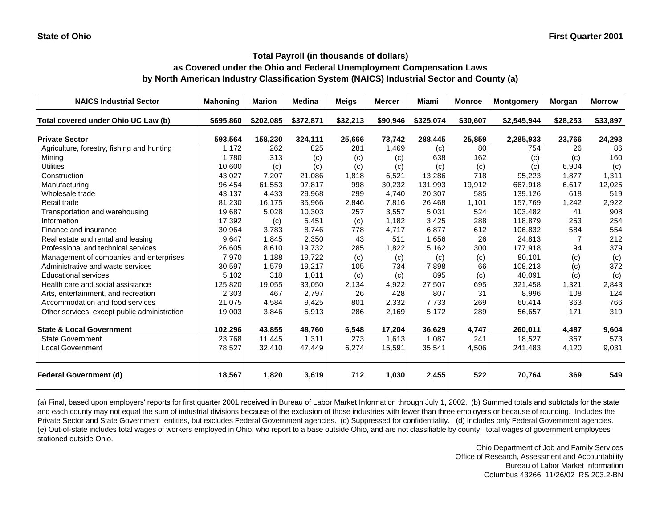## **as Covered under the Ohio and Federal Unemployment Compensation Laws by North American Industry Classification System (NAICS) Industrial Sector and County (a)**

| <b>NAICS Industrial Sector</b>               | <b>Mahoning</b> | <b>Marion</b> | <b>Medina</b> | <b>Meigs</b> | <b>Mercer</b> | <b>Miami</b> | <b>Montgomery</b><br><b>Monroe</b> |             | Morgan         | <b>Morrow</b> |
|----------------------------------------------|-----------------|---------------|---------------|--------------|---------------|--------------|------------------------------------|-------------|----------------|---------------|
| Total covered under Ohio UC Law (b)          | \$695,860       | \$202,085     | \$372,871     | \$32,213     | \$90,946      | \$325,074    | \$30,607                           | \$2,545,944 | \$28,253       | \$33,897      |
| <b>Private Sector</b>                        | 593,564         | 158,230       | 324,111       | 25,666       | 73,742        | 288,445      | 25,859                             | 2,285,933   | 23,766         | 24,293        |
| Agriculture, forestry, fishing and hunting   | 1,172           | 262           | 825           | 281          | 1,469         | (c)          | 80                                 | 754         | 26             | 86            |
| Mining                                       | 1.780           | 313           | (c)           | (c)          | (c)           | 638          | 162                                | (c)         | (c)            | 160           |
| <b>Utilities</b>                             | 10,600          | (c)           | (c)           | (c)          | (c)           | (c)          | (c)                                | (c)         | 6,904          | (c)           |
| Construction                                 | 43,027          | 7,207         | 21,086        | 1,818        | 6,521         | 13,286       | 718                                | 95,223      | 1.877          | 1,311         |
| Manufacturing                                | 96,454          | 61,553        | 97,817        | 998          | 30,232        | 131,993      | 19,912                             | 667,918     | 6,617          | 12,025        |
| Wholesale trade                              | 43,137          | 4,433         | 29,968        | 299          | 4.740         | 20,307       | 585                                | 139,126     | 618            | 519           |
| Retail trade                                 | 81,230          | 16,175        | 35,966        | 2,846        | 7,816         | 26,468       | 1,101                              | 157,769     | 1,242          | 2,922         |
| Transportation and warehousing               | 19,687          | 5,028         | 10,303        | 257          | 3,557         | 5,031        | 524                                | 103,482     | 41             | 908           |
| Information                                  | 17,392          | (c)           | 5,451         | (c)          | 1,182         | 3,425        | 288                                | 118,879     | 253            | 254           |
| Finance and insurance                        | 30,964          | 3,783         | 8,746         | 778          | 4,717         | 6,877        | 612                                | 106,832     | 584            | 554           |
| Real estate and rental and leasing           | 9,647           | 1,845         | 2,350         | 43           | 511           | 1,656        | 26                                 | 24,813      | $\overline{7}$ | 212           |
| Professional and technical services          | 26,605          | 8,610         | 19,732        | 285          | 1,822         | 5,162        | 300                                | 177,918     | 94             | 379           |
| Management of companies and enterprises      | 7,970           | 1,188         | 19,722        | (c)          | (c)           | (c)          | (c)                                | 80,101      | (c)            | (c)           |
| Administrative and waste services            | 30,597          | 1,579         | 19,217        | 105          | 734           | 7,898        | 66                                 | 108,213     | (c)            | 372           |
| <b>Educational services</b>                  | 5,102           | 318           | 1,011         | (c)          | (c)           | 895          | (c)                                | 40,091      | (c)            | (c)           |
| Health care and social assistance            | 125,820         | 19,055        | 33,050        | 2,134        | 4,922         | 27,507       | 695                                | 321,458     | 1,321          | 2,843         |
| Arts, entertainment, and recreation          | 2,303           | 467           | 2,797         | 26           | 428           | 807          | 31                                 | 8,996       | 108            | 124           |
| Accommodation and food services              | 21,075          | 4,584         | 9,425         | 801          | 2,332         | 7,733        | 269                                | 60,414      | 363            | 766           |
| Other services, except public administration | 19,003          | 3,846         | 5,913         | 286          | 2,169         | 5,172        | 289                                | 56,657      | 171            | 319           |
| <b>State &amp; Local Government</b>          | 102,296         | 43,855        | 48,760        | 6,548        | 17,204        | 36,629       | 4,747                              | 260,011     | 4,487          | 9,604         |
| <b>State Government</b>                      | 23,768          | 11,445        | 1,311         | 273          | 1,613         | 1,087        | 241                                | 18,527      | 367            | 573           |
| <b>Local Government</b>                      | 78,527          | 32,410        | 47,449        | 6,274        | 15,591        | 35,541       | 4,506                              | 241,483     | 4,120          | 9,031         |
| <b>Federal Government (d)</b>                | 18,567          | 1,820         | 3,619         | 712          | 1,030         | 2,455        | 522                                | 70,764      | 369            | 549           |

(a) Final, based upon employers' reports for first quarter 2001 received in Bureau of Labor Market Information through July 1, 2002. (b) Summed totals and subtotals for the state and each county may not equal the sum of industrial divisions because of the exclusion of those industries with fewer than three employers or because of rounding. Includes the Private Sector and State Government entities, but excludes Federal Government agencies. (c) Suppressed for confidentiality. (d) Includes only Federal Government agencies. (e) Out-of-state includes total wages of workers employed in Ohio, who report to a base outside Ohio, and are not classifiable by county; total wages of government employees stationed outside Ohio.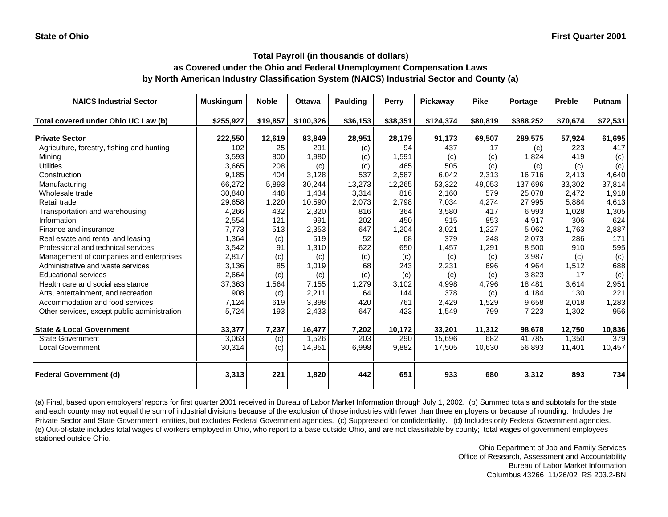## **as Covered under the Ohio and Federal Unemployment Compensation Laws by North American Industry Classification System (NAICS) Industrial Sector and County (a)**

| <b>NAICS Industrial Sector</b>               | <b>Muskingum</b> | <b>Noble</b> | <b>Ottawa</b> | <b>Paulding</b> | Perry    | Pickaway  | <b>Pike</b> | Portage   | <b>Preble</b> | <b>Putnam</b> |
|----------------------------------------------|------------------|--------------|---------------|-----------------|----------|-----------|-------------|-----------|---------------|---------------|
| Total covered under Ohio UC Law (b)          | \$255,927        | \$19,857     | \$100,326     | \$36,153        | \$38,351 | \$124,374 | \$80,819    | \$388,252 | \$70,674      | \$72,531      |
| <b>Private Sector</b>                        | 222,550          | 12,619       | 83,849        | 28,951          | 28,179   | 91,173    | 69,507      | 289,575   | 57,924        | 61,695        |
| Agriculture, forestry, fishing and hunting   | 102              | 25           | 291           | (c)             | 94       | 437       | 17          | (c)       | 223           | 417           |
| Mining                                       | 3,593            | 800          | 1,980         | (c)             | 1,591    | (c)       | (c)         | 1,824     | 419           | (c)           |
| <b>Utilities</b>                             | 3,665            | 208          | (c)           | (c)             | 465      | 505       | (c)         | (c)       | (c)           | (c)           |
| Construction                                 | 9,185            | 404          | 3,128         | 537             | 2,587    | 6,042     | 2,313       | 16,716    | 2,413         | 4,640         |
| Manufacturing                                | 66,272           | 5,893        | 30,244        | 13,273          | 12,265   | 53,322    | 49,053      | 137,696   | 33,302        | 37,814        |
| Wholesale trade                              | 30,840           | 448          | 1,434         | 3,314           | 816      | 2,160     | 579         | 25,078    | 2,472         | 1,918         |
| Retail trade                                 | 29,658           | 1,220        | 10,590        | 2,073           | 2,798    | 7,034     | 4,274       | 27,995    | 5,884         | 4,613         |
| Transportation and warehousing               | 4,266            | 432          | 2,320         | 816             | 364      | 3,580     | 417         | 6,993     | 1,028         | 1,305         |
| Information                                  | 2,554            | 121          | 991           | 202             | 450      | 915       | 853         | 4,917     | 306           | 624           |
| Finance and insurance                        | 7,773            | 513          | 2,353         | 647             | 1,204    | 3,021     | 1,227       | 5,062     | 1,763         | 2,887         |
| Real estate and rental and leasing           | 1,364            | (c)          | 519           | 52              | 68       | 379       | 248         | 2,073     | 286           | 171           |
| Professional and technical services          | 3,542            | 91           | 1.310         | 622             | 650      | 1,457     | 1,291       | 8.500     | 910           | 595           |
| Management of companies and enterprises      | 2,817            | (c)          | (c)           | (c)             | (c)      | (c)       | (c)         | 3,987     | (c)           | (c)           |
| Administrative and waste services            | 3,136            | 85           | 1.019         | 68              | 243      | 2,231     | 696         | 4,964     | 1,512         | 688           |
| <b>Educational services</b>                  | 2,664            | (c)          | (c)           | (c)             | (c)      | (c)       | (c)         | 3,823     | 17            | (c)           |
| Health care and social assistance            | 37,363           | 1,564        | 7,155         | 1,279           | 3,102    | 4,998     | 4,796       | 18,481    | 3,614         | 2,951         |
| Arts, entertainment, and recreation          | 908              | (c)          | 2,211         | 64              | 144      | 378       | (c)         | 4,184     | 130           | 221           |
| Accommodation and food services              | 7,124            | 619          | 3,398         | 420             | 761      | 2,429     | 1,529       | 9,658     | 2,018         | 1,283         |
| Other services, except public administration | 5,724            | 193          | 2,433         | 647             | 423      | 1,549     | 799         | 7,223     | 1,302         | 956           |
| <b>State &amp; Local Government</b>          | 33,377           | 7,237        | 16,477        | 7,202           | 10,172   | 33,201    | 11,312      | 98,678    | 12,750        | 10,836        |
| State Government                             | 3,063            | (c)          | 1,526         | 203             | 290      | 15,696    | 682         | 41,785    | 1,350         | 379           |
| <b>Local Government</b>                      | 30,314           | (c)          | 14,951        | 6,998           | 9,882    | 17,505    | 10,630      | 56,893    | 11,401        | 10,457        |
| <b>Federal Government (d)</b>                | 3,313            | 221          | 1,820         | 442             | 651      | 933       | 680         | 3,312     | 893           | 734           |

(a) Final, based upon employers' reports for first quarter 2001 received in Bureau of Labor Market Information through July 1, 2002. (b) Summed totals and subtotals for the state and each county may not equal the sum of industrial divisions because of the exclusion of those industries with fewer than three employers or because of rounding. Includes the Private Sector and State Government entities, but excludes Federal Government agencies. (c) Suppressed for confidentiality. (d) Includes only Federal Government agencies. (e) Out-of-state includes total wages of workers employed in Ohio, who report to a base outside Ohio, and are not classifiable by county; total wages of government employees stationed outside Ohio.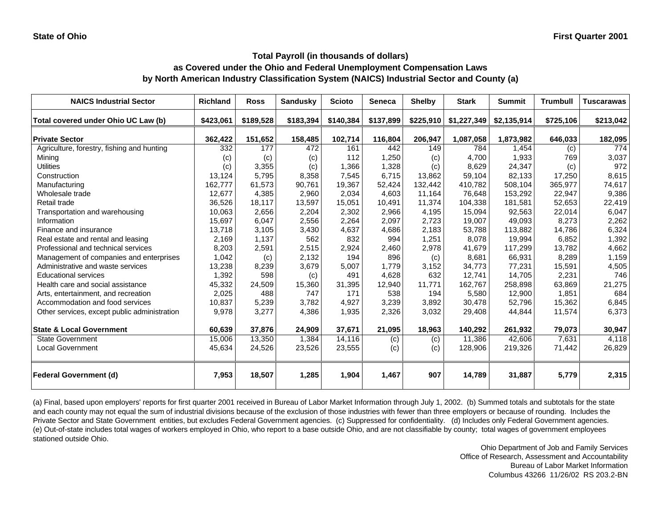## **as Covered under the Ohio and Federal Unemployment Compensation Laws by North American Industry Classification System (NAICS) Industrial Sector and County (a)**

| <b>NAICS Industrial Sector</b>               | <b>Richland</b> | <b>Ross</b> | <b>Sandusky</b> | <b>Scioto</b> | <b>Seneca</b> | <b>Shelby</b> | <b>Stark</b> | <b>Summit</b> | <b>Trumbull</b> | <b>Tuscarawas</b> |
|----------------------------------------------|-----------------|-------------|-----------------|---------------|---------------|---------------|--------------|---------------|-----------------|-------------------|
| Total covered under Ohio UC Law (b)          | \$423,061       | \$189,528   | \$183,394       | \$140,384     | \$137,899     | \$225,910     | \$1,227,349  | \$2,135,914   | \$725,106       | \$213,042         |
| <b>Private Sector</b>                        | 362,422         | 151,652     | 158,485         | 102,714       | 116,804       | 206,947       | 1,087,058    | 1,873,982     | 646,033         | 182,095           |
| Agriculture, forestry, fishing and hunting   | 332             | 177         | 472             | 161           | 442           | 149           | 784          | 1,454         | (c)             | 774               |
| Mining                                       | (c)             | (c)         | (c)             | 112           | 1,250         | (c)           | 4,700        | 1,933         | 769             | 3,037             |
| <b>Utilities</b>                             | (c)             | 3,355       | (c)             | 1,366         | 1,328         | (c)           | 8,629        | 24,347        | (c)             | 972               |
| Construction                                 | 13,124          | 5,795       | 8,358           | 7.545         | 6,715         | 13,862        | 59,104       | 82,133        | 17,250          | 8,615             |
| Manufacturing                                | 162,777         | 61,573      | 90,761          | 19,367        | 52,424        | 132,442       | 410,782      | 508,104       | 365,977         | 74,617            |
| Wholesale trade                              | 12,677          | 4,385       | 2,960           | 2,034         | 4,603         | 11,164        | 76,648       | 153,292       | 22,947          | 9,386             |
| Retail trade                                 | 36,526          | 18,117      | 13,597          | 15,051        | 10,491        | 11,374        | 104,338      | 181,581       | 52,653          | 22,419            |
| Transportation and warehousing               | 10,063          | 2,656       | 2,204           | 2,302         | 2,966         | 4,195         | 15,094       | 92,563        | 22,014          | 6,047             |
| Information                                  | 15,697          | 6,047       | 2,556           | 2,264         | 2,097         | 2,723         | 19,007       | 49,093        | 8,273           | 2,262             |
| Finance and insurance                        | 13,718          | 3,105       | 3,430           | 4,637         | 4,686         | 2,183         | 53,788       | 113,882       | 14,786          | 6,324             |
| Real estate and rental and leasing           | 2,169           | 1,137       | 562             | 832           | 994           | 1,251         | 8,078        | 19,994        | 6,852           | 1,392             |
| Professional and technical services          | 8,203           | 2,591       | 2,515           | 2,924         | 2,460         | 2,978         | 41,679       | 117,299       | 13,782          | 4,662             |
| Management of companies and enterprises      | 1,042           | (c)         | 2,132           | 194           | 896           | (c)           | 8,681        | 66,931        | 8,289           | 1,159             |
| Administrative and waste services            | 13,238          | 8,239       | 3,679           | 5,007         | 1,779         | 3,152         | 34,773       | 77,231        | 15,591          | 4,505             |
| <b>Educational services</b>                  | 1,392           | 598         | (c)             | 491           | 4,628         | 632           | 12,741       | 14,705        | 2,231           | 746               |
| Health care and social assistance            | 45,332          | 24,509      | 15,360          | 31,395        | 12,940        | 11,771        | 162,767      | 258,898       | 63,869          | 21,275            |
| Arts, entertainment, and recreation          | 2,025           | 488         | 747             | 171           | 538           | 194           | 5,580        | 12,900        | 1,851           | 684               |
| Accommodation and food services              | 10,837          | 5,239       | 3,782           | 4,927         | 3,239         | 3,892         | 30,478       | 52,796        | 15,362          | 6,845             |
| Other services, except public administration | 9,978           | 3,277       | 4,386           | 1,935         | 2,326         | 3,032         | 29,408       | 44,844        | 11,574          | 6,373             |
| <b>State &amp; Local Government</b>          | 60,639          | 37,876      | 24,909          | 37,671        | 21,095        | 18,963        | 140,292      | 261,932       | 79,073          | 30,947            |
| <b>State Government</b>                      | 15,006          | 13,350      | 1,384           | 14,116        | (c)           | (c)           | 11,386       | 42,606        | 7,631           | 4,118             |
| <b>Local Government</b>                      | 45,634          | 24,526      | 23,526          | 23,555        | (c)           | (c)           | 128,906      | 219,326       | 71,442          | 26,829            |
| <b>Federal Government (d)</b>                | 7,953           | 18,507      | 1,285           | 1,904         | 1,467         | 907           | 14,789       | 31,887        | 5,779           | 2,315             |